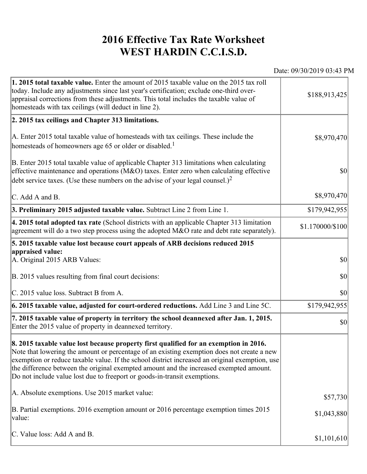## **2016 Effective Tax Rate Worksheet WEST HARDIN C.C.I.S.D.**

Date: 09/30/2019 03:43 PM

| 1. 2015 total taxable value. Enter the amount of 2015 taxable value on the 2015 tax roll<br>today. Include any adjustments since last year's certification; exclude one-third over-<br>appraisal corrections from these adjustments. This total includes the taxable value of<br>homesteads with tax ceilings (will deduct in line 2).                                                                                                                       | \$188,913,425    |
|--------------------------------------------------------------------------------------------------------------------------------------------------------------------------------------------------------------------------------------------------------------------------------------------------------------------------------------------------------------------------------------------------------------------------------------------------------------|------------------|
| 2. 2015 tax ceilings and Chapter 313 limitations.                                                                                                                                                                                                                                                                                                                                                                                                            |                  |
| A. Enter 2015 total taxable value of homesteads with tax ceilings. These include the<br>homesteads of homeowners age 65 or older or disabled. <sup>1</sup>                                                                                                                                                                                                                                                                                                   | \$8,970,470      |
| B. Enter 2015 total taxable value of applicable Chapter 313 limitations when calculating<br>effective maintenance and operations ( $M&O$ ) taxes. Enter zero when calculating effective<br>debt service taxes. (Use these numbers on the advise of your legal counsel.) <sup>2</sup>                                                                                                                                                                         | $ 10\rangle$     |
| C. Add A and B.                                                                                                                                                                                                                                                                                                                                                                                                                                              | \$8,970,470      |
| 3. Preliminary 2015 adjusted taxable value. Subtract Line 2 from Line 1.                                                                                                                                                                                                                                                                                                                                                                                     | \$179,942,955    |
| 4. 2015 total adopted tax rate (School districts with an applicable Chapter 313 limitation<br>agreement will do a two step process using the adopted M&O rate and debt rate separately).                                                                                                                                                                                                                                                                     | \$1.170000/\$100 |
| 5. 2015 taxable value lost because court appeals of ARB decisions reduced 2015                                                                                                                                                                                                                                                                                                                                                                               |                  |
| appraised value:<br>A. Original 2015 ARB Values:                                                                                                                                                                                                                                                                                                                                                                                                             | $ 10\rangle$     |
| B. 2015 values resulting from final court decisions:                                                                                                                                                                                                                                                                                                                                                                                                         | \$0              |
| C. 2015 value loss. Subtract B from A.                                                                                                                                                                                                                                                                                                                                                                                                                       | $ 10\rangle$     |
| 6. 2015 taxable value, adjusted for court-ordered reductions. Add Line 3 and Line 5C.                                                                                                                                                                                                                                                                                                                                                                        | \$179,942,955    |
| 7. 2015 taxable value of property in territory the school deannexed after Jan. 1, 2015.<br>Enter the 2015 value of property in deannexed territory.                                                                                                                                                                                                                                                                                                          | $ 10\rangle$     |
| 8. 2015 taxable value lost because property first qualified for an exemption in 2016.<br>Note that lowering the amount or percentage of an existing exemption does not create a new<br>exemption or reduce taxable value. If the school district increased an original exemption, use<br>the difference between the original exempted amount and the increased exempted amount.<br>Do not include value lost due to freeport or goods-in-transit exemptions. |                  |
| A. Absolute exemptions. Use 2015 market value:                                                                                                                                                                                                                                                                                                                                                                                                               | \$57,730         |
| B. Partial exemptions. 2016 exemption amount or 2016 percentage exemption times 2015<br>value:                                                                                                                                                                                                                                                                                                                                                               | \$1,043,880      |
| C. Value loss: Add A and B.                                                                                                                                                                                                                                                                                                                                                                                                                                  | \$1,101,610      |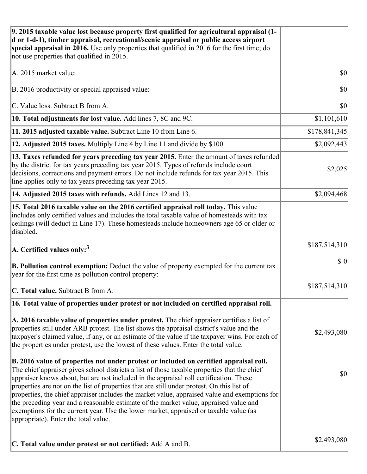| 9. 2015 taxable value lost because property first qualified for agricultural appraisal (1-<br>d or 1-d-1), timber appraisal, recreational/scenic appraisal or public access airport<br>special appraisal in 2016. Use only properties that qualified in 2016 for the first time; do<br>not use properties that qualified in 2015.                                                                                                                                                                                                                                                                                                                                                                         |               |
|-----------------------------------------------------------------------------------------------------------------------------------------------------------------------------------------------------------------------------------------------------------------------------------------------------------------------------------------------------------------------------------------------------------------------------------------------------------------------------------------------------------------------------------------------------------------------------------------------------------------------------------------------------------------------------------------------------------|---------------|
| A. 2015 market value:                                                                                                                                                                                                                                                                                                                                                                                                                                                                                                                                                                                                                                                                                     | \$0           |
| B. 2016 productivity or special appraised value:                                                                                                                                                                                                                                                                                                                                                                                                                                                                                                                                                                                                                                                          | 30            |
| C. Value loss. Subtract B from A.                                                                                                                                                                                                                                                                                                                                                                                                                                                                                                                                                                                                                                                                         | \$0           |
| 10. Total adjustments for lost value. Add lines 7, 8C and 9C.                                                                                                                                                                                                                                                                                                                                                                                                                                                                                                                                                                                                                                             | \$1,101,610   |
| 11. 2015 adjusted taxable value. Subtract Line 10 from Line 6.                                                                                                                                                                                                                                                                                                                                                                                                                                                                                                                                                                                                                                            | \$178,841,345 |
| 12. Adjusted 2015 taxes. Multiply Line 4 by Line 11 and divide by \$100.                                                                                                                                                                                                                                                                                                                                                                                                                                                                                                                                                                                                                                  | \$2,092,443   |
| 13. Taxes refunded for years preceding tax year 2015. Enter the amount of taxes refunded<br>by the district for tax years preceding tax year 2015. Types of refunds include court<br>decisions, corrections and payment errors. Do not include refunds for tax year 2015. This<br>line applies only to tax years preceding tax year 2015.                                                                                                                                                                                                                                                                                                                                                                 | \$2,025       |
| 14. Adjusted 2015 taxes with refunds. Add Lines 12 and 13.                                                                                                                                                                                                                                                                                                                                                                                                                                                                                                                                                                                                                                                | \$2,094,468   |
| 15. Total 2016 taxable value on the 2016 certified appraisal roll today. This value<br>includes only certified values and includes the total taxable value of homesteads with tax<br>ceilings (will deduct in Line 17). These homesteads include homeowners age 65 or older or<br>disabled.                                                                                                                                                                                                                                                                                                                                                                                                               |               |
| A. Certified values only: $3$                                                                                                                                                                                                                                                                                                                                                                                                                                                                                                                                                                                                                                                                             | \$187,514,310 |
| B. Pollution control exemption: Deduct the value of property exempted for the current tax<br>year for the first time as pollution control property:                                                                                                                                                                                                                                                                                                                                                                                                                                                                                                                                                       | $S-0$         |
| C. Total value. Subtract B from A.                                                                                                                                                                                                                                                                                                                                                                                                                                                                                                                                                                                                                                                                        | \$187,514,310 |
| 16. Total value of properties under protest or not included on certified appraisal roll.                                                                                                                                                                                                                                                                                                                                                                                                                                                                                                                                                                                                                  |               |
| A. 2016 taxable value of properties under protest. The chief appraiser certifies a list of<br>properties still under ARB protest. The list shows the appraisal district's value and the<br>taxpayer's claimed value, if any, or an estimate of the value if the taxpayer wins. For each of<br>the properties under protest, use the lowest of these values. Enter the total value.                                                                                                                                                                                                                                                                                                                        | \$2,493,080   |
| B. 2016 value of properties not under protest or included on certified appraisal roll.<br>The chief appraiser gives school districts a list of those taxable properties that the chief<br>appraiser knows about, but are not included in the appraisal roll certification. These<br>properties are not on the list of properties that are still under protest. On this list of<br>properties, the chief appraiser includes the market value, appraised value and exemptions for<br>the preceding year and a reasonable estimate of the market value, appraised value and<br>exemptions for the current year. Use the lower market, appraised or taxable value (as<br>appropriate). Enter the total value. | \$0           |
| C. Total value under protest or not certified: Add A and B.                                                                                                                                                                                                                                                                                                                                                                                                                                                                                                                                                                                                                                               | \$2,493,080   |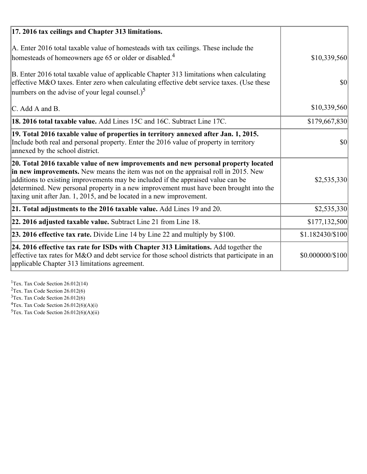| 17. 2016 tax ceilings and Chapter 313 limitations.                                                                                                                                                                                                                                                                                                                                                                             |                  |
|--------------------------------------------------------------------------------------------------------------------------------------------------------------------------------------------------------------------------------------------------------------------------------------------------------------------------------------------------------------------------------------------------------------------------------|------------------|
| A. Enter 2016 total taxable value of homesteads with tax ceilings. These include the<br>homesteads of homeowners age 65 or older or disabled. <sup>4</sup>                                                                                                                                                                                                                                                                     | \$10,339,560     |
| B. Enter 2016 total taxable value of applicable Chapter 313 limitations when calculating<br>effective M&O taxes. Enter zero when calculating effective debt service taxes. (Use these<br>numbers on the advise of your legal counsel.) <sup>5</sup>                                                                                                                                                                            | $\vert$ \$0      |
| C. Add A and B.                                                                                                                                                                                                                                                                                                                                                                                                                | \$10,339,560     |
| <b>18. 2016 total taxable value.</b> Add Lines 15C and 16C. Subtract Line 17C.                                                                                                                                                                                                                                                                                                                                                 | \$179,667,830    |
| 19. Total 2016 taxable value of properties in territory annexed after Jan. 1, 2015.<br>Include both real and personal property. Enter the 2016 value of property in territory<br>annexed by the school district.                                                                                                                                                                                                               | $\vert$ \$0      |
| 20. Total 2016 taxable value of new improvements and new personal property located<br>in new improvements. New means the item was not on the appraisal roll in 2015. New<br>additions to existing improvements may be included if the appraised value can be<br>determined. New personal property in a new improvement must have been brought into the<br>taxing unit after Jan. 1, 2015, and be located in a new improvement. | \$2,535,330      |
| 21. Total adjustments to the 2016 taxable value. Add Lines 19 and 20.                                                                                                                                                                                                                                                                                                                                                          | \$2,535,330      |
| 22. 2016 adjusted taxable value. Subtract Line 21 from Line 18.                                                                                                                                                                                                                                                                                                                                                                | \$177,132,500    |
| 23. 2016 effective tax rate. Divide Line 14 by Line 22 and multiply by \$100.                                                                                                                                                                                                                                                                                                                                                  | \$1.182430/\$100 |
| 24. 2016 effective tax rate for ISDs with Chapter 313 Limitations. Add together the<br>effective tax rates for M&O and debt service for those school districts that participate in an<br>applicable Chapter 313 limitations agreement.                                                                                                                                                                                         | \$0.000000/\$100 |

<sup>1</sup>Tex. Tax Code Section 26.012(14)  $2$ Tex. Tax Code Section 26.012(6)  $3$ Tex. Tax Code Section 26.012(6)  ${}^{4}$ Tex. Tax Code Section 26.012(6)(A)(i)

 $5$ Tex. Tax Code Section 26.012(6)(A)(ii)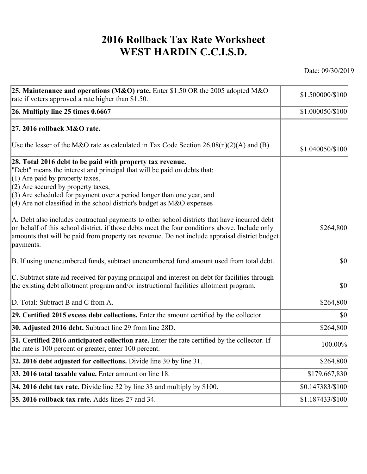## **2016 Rollback Tax Rate Worksheet WEST HARDIN C.C.I.S.D.**

Date: 09/30/2019

| \$1.500000/\$100                                                                              |
|-----------------------------------------------------------------------------------------------|
| \$1.000050/\$100                                                                              |
|                                                                                               |
| \$1.040050/\$100                                                                              |
|                                                                                               |
| \$264,800                                                                                     |
| 30                                                                                            |
| $ 10\rangle$                                                                                  |
| \$264,800                                                                                     |
| $ 10\rangle$                                                                                  |
| \$264,800                                                                                     |
| 100.00%                                                                                       |
| \$264,800                                                                                     |
| \$179,667,830                                                                                 |
| \$0.147383/\$100                                                                              |
| \$1.187433/\$100                                                                              |
| amounts that will be paid from property tax revenue. Do not include appraisal district budget |